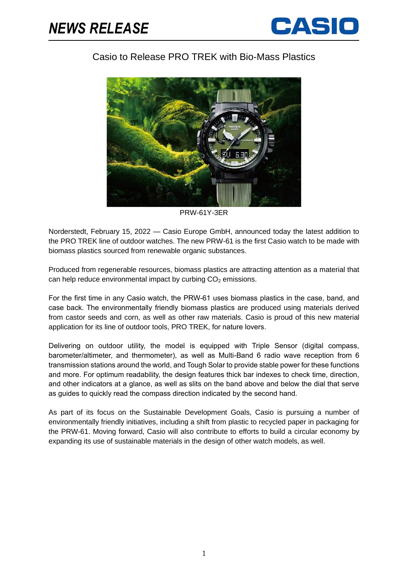

## Casio to Release PRO TREK with Bio-Mass Plastics



PRW-61Y-3ER

Norderstedt, February 15, 2022 — Casio Europe GmbH, announced today the latest addition to the PRO TREK line of outdoor watches. The new PRW-61 is the first Casio watch to be made with biomass plastics sourced from renewable organic substances.

Produced from regenerable resources, biomass plastics are attracting attention as a material that can help reduce environmental impact by curbing  $CO<sub>2</sub>$  emissions.

For the first time in any Casio watch, the PRW-61 uses biomass plastics in the case, band, and case back. The environmentally friendly biomass plastics are produced using materials derived from castor seeds and corn, as well as other raw materials. Casio is proud of this new material application for its line of outdoor tools, PRO TREK, for nature lovers.

Delivering on outdoor utility, the model is equipped with Triple Sensor (digital compass, barometer/altimeter, and thermometer), as well as Multi-Band 6 radio wave reception from 6 transmission stations around the world, and Tough Solar to provide stable power for these functions and more. For optimum readability, the design features thick bar indexes to check time, direction, and other indicators at a glance, as well as slits on the band above and below the dial that serve as guides to quickly read the compass direction indicated by the second hand.

As part of its focus on the Sustainable Development Goals, Casio is pursuing a number of environmentally friendly initiatives, including a shift from plastic to recycled paper in packaging for the PRW-61. Moving forward, Casio will also contribute to efforts to build a circular economy by expanding its use of sustainable materials in the design of other watch models, as well.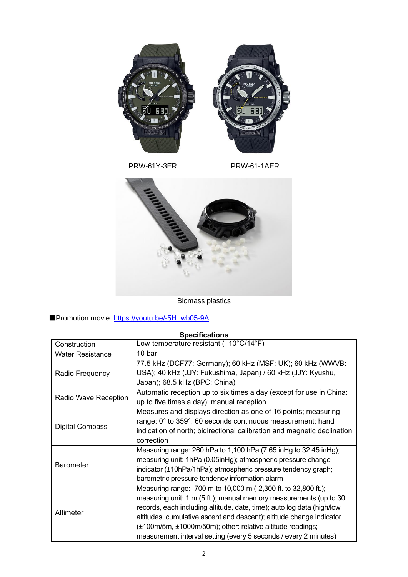

PRW-61Y-3ER PRW-61-1AER



Biomass plastics

## ■Promotion movie: [https://youtu.be/-5H\\_wb05-9A](https://youtu.be/-5H_wb05-9A)

## **Specifications** Construction Low-temperature resistant (–10°C/14°F) Water Resistance | 10 bar Radio Frequency 77.5 kHz (DCF77: Germany); 60 kHz (MSF: UK); 60 kHz (WWVB: USA); 40 kHz (JJY: Fukushima, Japan) / 60 kHz (JJY: Kyushu, Japan); 68.5 kHz (BPC: China) Radio Wave Reception Automatic reception up to six times a day (except for use in China: up to five times a day); manual reception Digital Compass Measures and displays direction as one of 16 points; measuring range: 0° to 359°; 60 seconds continuous measurement; hand indication of north; bidirectional calibration and magnetic declination correction **Barometer** Measuring range: 260 hPa to 1,100 hPa (7.65 inHg to 32.45 inHg); measuring unit: 1hPa (0.05inHg); atmospheric pressure change indicator (±10hPa/1hPa); atmospheric pressure tendency graph; barometric pressure tendency information alarm Altimeter Measuring range: -700 m to 10,000 m (-2,300 ft. to 32,800 ft.); measuring unit: 1 m (5 ft.); manual memory measurements (up to 30 records, each including altitude, date, time); auto log data (high/low altitudes, cumulative ascent and descent); altitude change indicator (±100m/5m, ±1000m/50m); other: relative altitude readings; measurement interval setting (every 5 seconds / every 2 minutes)